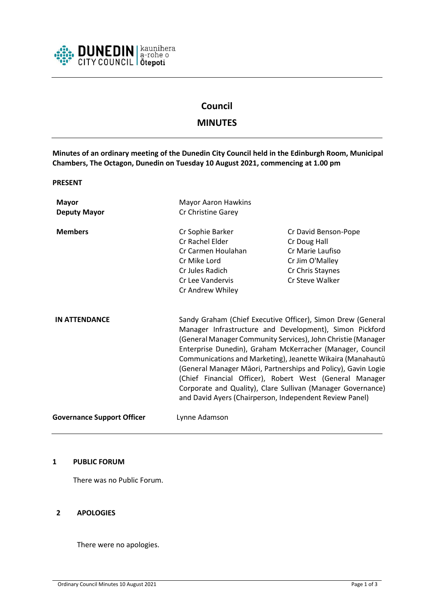

# **Council**

## **MINUTES**

**Minutes of an ordinary meeting of the Dunedin City Council held in the Edinburgh Room, Municipal Chambers, The Octagon, Dunedin on Tuesday 10 August 2021, commencing at 1.00 pm**

**PRESENT**

| <b>Mayor</b><br><b>Deputy Mayor</b> | <b>Mayor Aaron Hawkins</b><br>Cr Christine Garey                                                                                                                                                                                                                                                                                                                                                                                                                                                                                                                        |                                                                                                                    |
|-------------------------------------|-------------------------------------------------------------------------------------------------------------------------------------------------------------------------------------------------------------------------------------------------------------------------------------------------------------------------------------------------------------------------------------------------------------------------------------------------------------------------------------------------------------------------------------------------------------------------|--------------------------------------------------------------------------------------------------------------------|
| <b>Members</b>                      | Cr Sophie Barker<br>Cr Rachel Elder<br>Cr Carmen Houlahan<br>Cr Mike Lord<br>Cr Jules Radich<br>Cr Lee Vandervis<br>Cr Andrew Whiley                                                                                                                                                                                                                                                                                                                                                                                                                                    | Cr David Benson-Pope<br>Cr Doug Hall<br>Cr Marie Laufiso<br>Cr Jim O'Malley<br>Cr Chris Staynes<br>Cr Steve Walker |
| <b>IN ATTENDANCE</b>                | Sandy Graham (Chief Executive Officer), Simon Drew (General<br>Manager Infrastructure and Development), Simon Pickford<br>(General Manager Community Services), John Christie (Manager<br>Enterprise Dunedin), Graham McKerracher (Manager, Council<br>Communications and Marketing), Jeanette Wikaira (Manahautū<br>(General Manager Māori, Partnerships and Policy), Gavin Logie<br>(Chief Financial Officer), Robert West (General Manager<br>Corporate and Quality), Clare Sullivan (Manager Governance)<br>and David Ayers (Chairperson, Independent Review Panel) |                                                                                                                    |
| <b>Governance Support Officer</b>   | Lynne Adamson                                                                                                                                                                                                                                                                                                                                                                                                                                                                                                                                                           |                                                                                                                    |

#### **1 PUBLIC FORUM**

There was no Public Forum.

#### **2 APOLOGIES**

There were no apologies.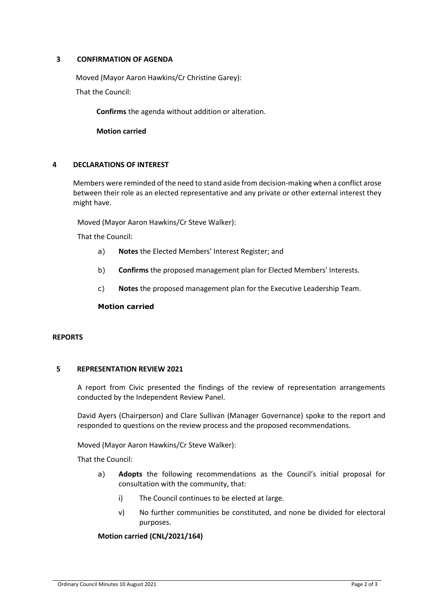#### **3 CONFIRMATION OF AGENDA**

Moved (Mayor Aaron Hawkins/Cr Christine Garey):

That the Council:

**Confirms** the agenda without addition or alteration.

**Motion carried**

#### **4 DECLARATIONS OF INTEREST**

Members were reminded of the need to stand aside from decision-making when a conflict arose between their role as an elected representative and any private or other external interest they might have.

Moved (Mayor Aaron Hawkins/Cr Steve Walker):

That the Council:

- a) **Notes** the Elected Members' Interest Register; and
- b) **Confirms** the proposed management plan for Elected Members' Interests.
- c) **Notes** the proposed management plan for the Executive Leadership Team.

#### **Motion carried**

#### **REPORTS**

#### **5 REPRESENTATION REVIEW 2021**

A report from Civic presented the findings of the review of representation arrangements conducted by the Independent Review Panel.

David Ayers (Chairperson) and Clare Sullivan (Manager Governance) spoke to the report and responded to questions on the review process and the proposed recommendations.

Moved (Mayor Aaron Hawkins/Cr Steve Walker):

That the Council:

- a) **Adopts** the following recommendations as the Council's initial proposal for consultation with the community, that:
	- i) The Council continues to be elected at large.
	- v) No further communities be constituted, and none be divided for electoral purposes.

#### **Motion carried (CNL/2021/164)**